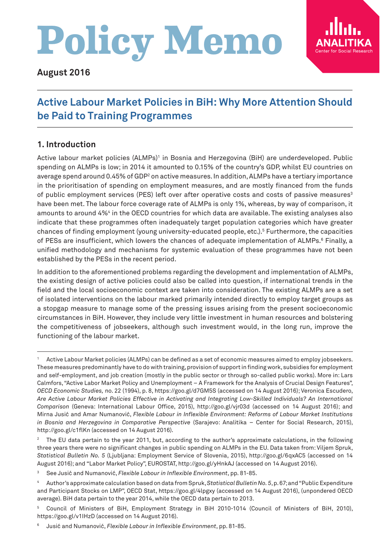# **Policy Memo**

#### **August 2016**

## **Active Labour Market Policies in BiH: Why More Attention Should be Paid to Training Programmes**

### **1. Introduction**

Active labour market policies (ALMPs)<sup>1</sup> in Bosnia and Herzegovina (BiH) are underdeveloped. Public spending on ALMPs is low; in 2014 it amounted to 0.15% of the country's GDP, whilst EU countries on average spend around 0.45% of GDP² on active measures. In addition, ALMPs have a tertiary importance in the prioritisation of spending on employment measures, and are mostly financed from the funds of public employment services (PES) left over after operative costs and costs of passive measures<sup>3</sup> have been met. The labour force coverage rate of ALMPs is only 1%, whereas, by way of comparison, it amounts to around 4%<sup>4</sup> in the OECD countries for which data are available. The existing analyses also indicate that these programmes often inadequately target population categories which have greater chances of finding employment (young university-educated people, etc.).<sup>5</sup> Furthermore, the capacities of PESs are insufficient, which lowers the chances of adequate implementation of ALMPs.<sup>6</sup> Finally, a unified methodology and mechanisms for systemic evaluation of these programmes have not been established by the PESs in the recent period.

In addition to the aforementioned problems regarding the development and implementation of ALMPs, the existing design of active policies could also be called into question, if international trends in the field and the local socioeconomic context are taken into consideration. The existing ALMPs are a set of isolated interventions on the labour marked primarily intended directly to employ target groups as a stopgap measure to manage some of the pressing issues arising from the present socioeconomic circumstances in BiH. However, they include very little investment in human resources and bolstering the competitiveness of jobseekers, although such investment would, in the long run, improve the functioning of the labour market.

<sup>2</sup> The EU data pertain to the year 2011, but, according to the author's approximate calculations, in the following three years there were no significant changes in public spending on ALMPs in the EU. Data taken from: Viljem Spruk, *Statistical Bulletin No. 5* (Ljubljana: Employment Service of Slovenia, 2015), http://goo.gl/6qxAC5 (accessed on 14 August 2016); and "Labor Market Policy", EUROSTAT, http://goo.gl/yHnkAJ (accessed on 14 August 2016).

<sup>3</sup> See Jusić and Numanović, *Flexible Labour in Inflexible Environment*, pp. 81-85.

<sup>4</sup> Author's approximate calculation based on data from Spruk, *Statistical Bulletin No. 5*, p. 67; and "Public Expenditure and Participant Stocks on LMP", OECD Stat, https://goo.gl/4lpgxy (accessed on 14 August 2016), (unpondered OECD average). BiH data pertain to the year 2014, while the OECD data pertain to 2013.

Active Labour Market policies (ALMPs) can be defined as a set of economic measures aimed to employ jobseekers. These measures predominantly have to do with training, provision of support in finding work, subsidies for employment and self-employment, and job creation (mostly in the public sector or through so-called public works). More in: Lars Calmfors, "Active Labor Market Policy and Unemployment – A Framework for the Analysis of Crucial Design Features", *OECD Economic Studies,* no. 22 (1994), p. 8, https://goo.gl/d7GM5S (accessed on 14 August 2016); Veronica Escudero, *Are Active Labour Market Policies Effective in Activating and Integrating Low-Skilled Individuals? An International Comparison* (Geneva: International Labour Office, 2015), http://goo.gl/vjr03d (accessed on 14 August 2016); and Mirna Jusić and Amar Numanović, *Flexible Labour in Inflexible Environment: Reforms of Labour Market Institutions in Bosnia and Herzegovina in Comparative Perspective* (Sarajevo: Analitika – Center for Social Research, 2015), http://goo.gl/c1flKn (accessed on 14 August 2016).

<sup>5</sup> Council of Ministers of BiH, Employment Strategy in BiH 2010-1014 (Council of Ministers of BiH, 2010), https://goo.gl/v1IHzD (accessed on 14 August 2016).

<sup>6</sup> Jusić and Numanović, *Flexible Labour in Inflexible Environment*, pp. 81-85.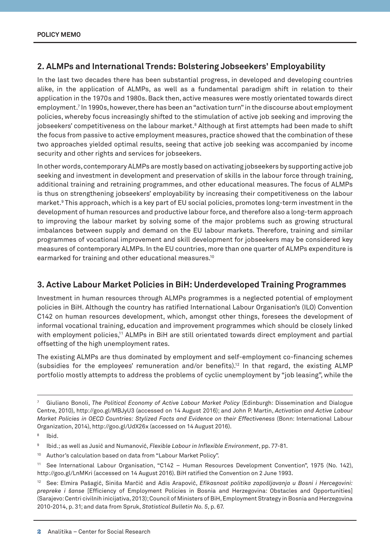#### **2. ALMPs and International Trends: Bolstering Jobseekers' Employability**

In the last two decades there has been substantial progress, in developed and developing countries alike, in the application of ALMPs, as well as a fundamental paradigm shift in relation to their application in the 1970s and 1980s. Back then, active measures were mostly orientated towards direct employment.7 In 1990s, however, there has been an "activation turn" in the discourse about employment policies, whereby focus increasingly shifted to the stimulation of active job seeking and improving the jobseekers' competitiveness on the labour market. $^{\rm s}$  Although at first attempts had been made to shift the focus from passive to active employment measures, practice showed that the combination of these two approaches yielded optimal results, seeing that active job seeking was accompanied by income security and other rights and services for jobseekers.

In other words, contemporary ALMPs are mostly based on activating jobseekers by supporting active job seeking and investment in development and preservation of skills in the labour force through training, additional training and retraining programmes, and other educational measures. The focus of ALMPs is thus on strengthening jobseekers' employability by increasing their competitiveness on the labour market.9 This approach, which is a key part of EU social policies, promotes long-term investment in the development of human resources and productive labour force, and therefore also a long-term approach to improving the labour market by solving some of the major problems such as growing structural imbalances between supply and demand on the EU labour markets. Therefore, training and similar programmes of vocational improvement and skill development for jobseekers may be considered key measures of contemporary ALMPs. In the EU countries, more than one quarter of ALMPs expenditure is earmarked for training and other educational measures.10

#### **3. Active Labour Market Policies in BiH: Underdeveloped Training Programmes**

Investment in human resources through ALMPs programmes is a neglected potential of employment policies in BiH. Although the country has ratified International Labour Organisation's (ILO) Convention C142 on human resources development, which, amongst other things, foresees the development of informal vocational training, education and improvement programmes which should be closely linked with employment policies,<sup>11</sup> ALMPs in BiH are still orientated towards direct employment and partial offsetting of the high unemployment rates.

The existing ALMPs are thus dominated by employment and self-employment co-financing schemes (subsidies for the employees' remuneration and/or benefits).12 In that regard, the existing ALMP portfolio mostly attempts to address the problems of cyclic unemployment by "job leasing", while the

<sup>10</sup> Author's calculation based on data from "Labour Market Policy".

<sup>7</sup> Giuliano Bonoli, *The Political Economy of Active Labour Market Policy* (Edinburgh: Dissemination and Dialogue Centre, 2010), http://goo.gl/MBJyU3 (accessed on 14 August 2016); and John P. Martin, *Activation and Active Labour Market Policies in OECD Countries: Stylized Facts and Evidence on their Effectiveness* (Bonn: International Labour Organization, 2014), http://goo.gl/UdX26x (accessed on 14 August 2016).

<sup>8</sup> Ibid.

<sup>9</sup> Ibid.; as well as Jusić and Numanović, *Flexible Labour in Inflexible Environment*, pp. 77-81.

<sup>11</sup> See International Labour Organisation, "C142 – Human Resources Development Convention", 1975 (No. 142), http://goo.gl/LnMKri (accessed on 14 August 2016). BiH ratified the Convention on 2 June 1993.

<sup>12</sup> See: Elmira Pašagić, Siniša Marčić and Adis Arapović, *Efikasnost politika zapošljavanja u Bosni i Hercegovini: prepreke i šanse* [Efficiency of Employment Policies in Bosnia and Herzegovina: Obstacles and Opportunities] (Sarajevo: Centri civilnih inicijativa, 2013); Council of Ministers of BiH, Employment Strategy in Bosnia and Herzegovina 2010-2014, p. 31; and data from Spruk, *Statistical Bulletin No. 5*, p. 67.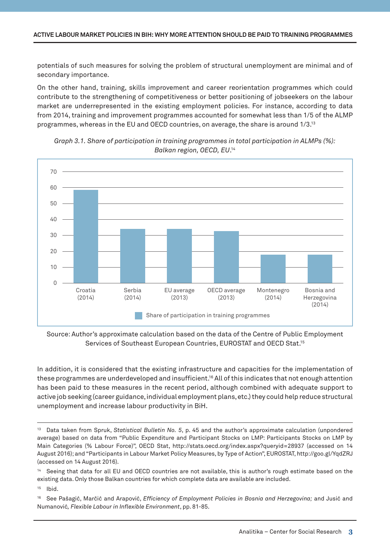potentials of such measures for solving the problem of structural unemployment are minimal and of secondary importance.

On the other hand, training, skills improvement and career reorientation programmes which could contribute to the strengthening of competitiveness or better positioning of jobseekers on the labour market are underrepresented in the existing employment policies. For instance, according to data from 2014, training and improvement programmes accounted for somewhat less than 1/5 of the ALMP programmes, whereas in the EU and OECD countries, on average, the share is around 1/3.13



*Graph 3.1. Share of participation in training programmes in total participation in ALMPs (%): Balkan region, OECD, EU*. 14

Source: Author's approximate calculation based on the data of the Centre of Public Employment Services of Southeast European Countries, EUROSTAT and OECD Stat.15

In addition, it is considered that the existing infrastructure and capacities for the implementation of these programmes are underdeveloped and insufficient.16 All of this indicates that not enough attention has been paid to these measures in the recent period, although combined with adequate support to active job seeking (career guidance, individual employment plans, etc.) they could help reduce structural unemployment and increase labour productivity in BiH.

Seeing that data for all EU and OECD countries are not available, this is author's rough estimate based on the existing data. Only those Balkan countries for which complete data are available are included.

 $15$  Ibid.

<sup>16</sup> See Pašagić, Marčić and Arapović, *Efficiency of Employment Policies in Bosnia and Herzegovina;* and Jusić and Numanović*, Flexible Labour in Inflexible Environment*, pp. 81-85.

<sup>13</sup> Data taken from Spruk, *Statistical Bulletin No. 5*, p. 45 and the author's approximate calculation (unpondered average) based on data from "Public Expenditure and Participant Stocks on LMP: Participants Stocks on LMP by Main Categories (% Labour Force)", OECD Stat, http://stats.oecd.org/index.aspx?queryid=28937 (accessed on 14 August 2016); and "Participants in Labour Market Policy Measures, by Type of Action", EUROSTAT, http://goo.gl/YqdZRJ (accessed on 14 August 2016).